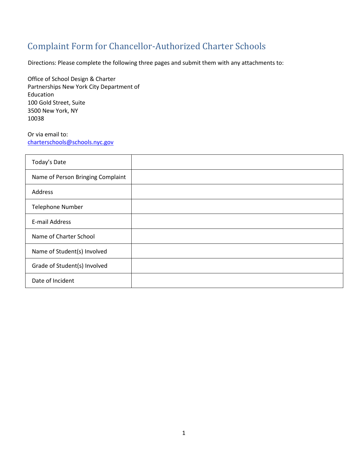## Complaint Form for Chancellor-Authorized Charter Schools

Directions: Please complete the following three pages and submit them with any attachments to:

Office of School Design & Charter Partnerships New York City Department of Education 100 Gold Street, Suite 3500 New York, NY 10038

Or via email to: [charterschools@schools.nyc.gov](mailto:charterschools@schools.nyc.gov) 

| Today's Date                      |  |
|-----------------------------------|--|
| Name of Person Bringing Complaint |  |
| Address                           |  |
| <b>Telephone Number</b>           |  |
| E-mail Address                    |  |
| Name of Charter School            |  |
| Name of Student(s) Involved       |  |
| Grade of Student(s) Involved      |  |
| Date of Incident                  |  |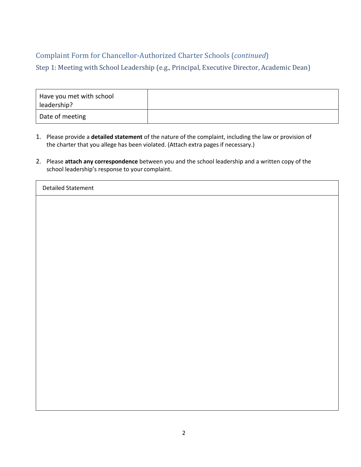## Complaint Form for Chancellor-Authorized Charter Schools (*continued*)

Step 1: Meeting with School Leadership (e.g., Principal, Executive Director, Academic Dean)

| Have you met with school<br>leadership? |  |
|-----------------------------------------|--|
| Date of meeting                         |  |

- 1. Please provide a **detailed statement** of the nature of the complaint, including the law or provision of the charter that you allege has been violated. (Attach extra pages if necessary.)
- 2. Please **attach any correspondence** between you and the school leadership and a written copy of the school leadership's response to your complaint.

| <b>Detailed Statement</b> |  |
|---------------------------|--|
|---------------------------|--|